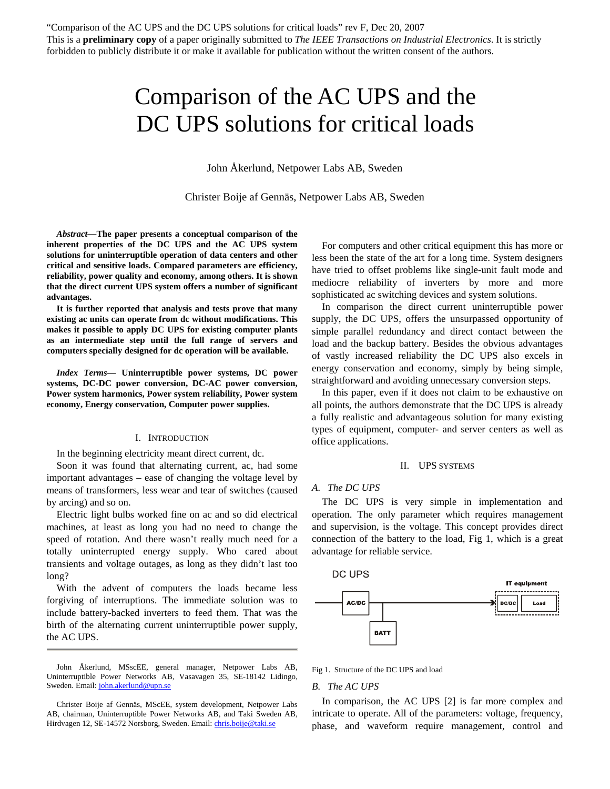# Comparison of the AC UPS and the DC UPS solutions for critical loads

John Åkerlund, Netpower Labs AB, Sweden

Christer Boije af Gennäs, Netpower Labs AB, Sweden

*Abstract***—The paper presents a conceptual comparison of the inherent properties of the DC UPS and the AC UPS system solutions for uninterruptible operation of data centers and other critical and sensitive loads. Compared parameters are efficiency, reliability, power quality and economy, among others. It is shown that the direct current UPS system offers a number of significant advantages.** 

**It is further reported that analysis and tests prove that many existing ac units can operate from dc without modifications. This makes it possible to apply DC UPS for existing computer plants as an intermediate step until the full range of servers and computers specially designed for dc operation will be available.** 

*Index Terms***— Uninterruptible power systems, DC power systems, DC-DC power conversion, DC-AC power conversion, Power system harmonics, Power system reliability, Power system economy, Energy conservation, Computer power supplies.** 

#### I. INTRODUCTION

In the beginning electricity meant direct current, dc.

Soon it was found that alternating current, ac, had some important advantages – ease of changing the voltage level by means of transformers, less wear and tear of switches (caused by arcing) and so on.

Electric light bulbs worked fine on ac and so did electrical machines, at least as long you had no need to change the speed of rotation. And there wasn't really much need for a totally uninterrupted energy supply. Who cared about transients and voltage outages, as long as they didn't last too long?

With the advent of computers the loads became less forgiving of interruptions. The immediate solution was to include battery-backed inverters to feed them. That was the birth of the alternating current uninterruptible power supply, the AC UPS.

John Åkerlund, MSscEE, general manager, Netpower Labs AB, Uninterruptible Power Networks AB, Vasavagen 35, SE-18142 Lidingo, Sweden. Email: [john.akerlund@upn.se](mailto:john.akerlund@upn.se)

For computers and other critical equipment this has more or less been the state of the art for a long time. System designers have tried to offset problems like single-unit fault mode and mediocre reliability of inverters by more and more sophisticated ac switching devices and system solutions.

In comparison the direct current uninterruptible power supply, the DC UPS, offers the unsurpassed opportunity of simple parallel redundancy and direct contact between the load and the backup battery. Besides the obvious advantages of vastly increased reliability the DC UPS also excels in energy conservation and economy, simply by being simple, straightforward and avoiding unnecessary conversion steps.

In this paper, even if it does not claim to be exhaustive on all points, the authors demonstrate that the DC UPS is already a fully realistic and advantageous solution for many existing types of equipment, computer- and server centers as well as office applications.

#### II. UPS SYSTEMS

#### *A. The DC UPS*

The DC UPS is very simple in implementation and operation. The only parameter which requires management and supervision, is the voltage. This concept provides direct connection of the battery to the load, Fig 1, which is a great advantage for reliable service.



Fig 1. Structure of the DC UPS and load

#### *B. The AC UPS*

In comparison, the AC UPS [2] is far more complex and intricate to operate. All of the parameters: voltage, frequency, phase, and waveform require management, control and

Christer Boije af Gennäs, MScEE, system development, Netpower Labs AB, chairman, Uninterruptible Power Networks AB, and Taki Sweden AB, Hirdvagen 12, SE-14572 Norsborg, Sweden. Email: *chris.boije@taki.se*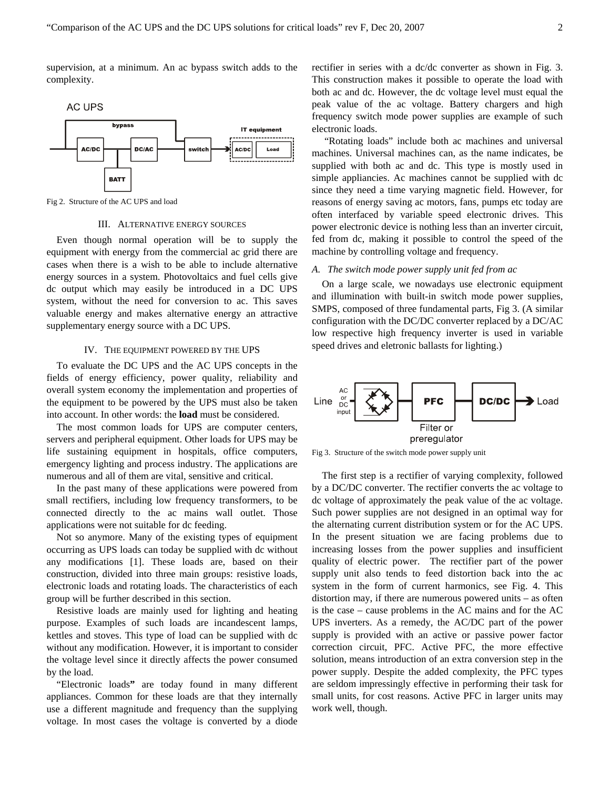supervision, at a minimum. An ac bypass switch adds to the complexity.



Fig 2. Structure of the AC UPS and load

### III. ALTERNATIVE ENERGY SOURCES

Even though normal operation will be to supply the equipment with energy from the commercial ac grid there are cases when there is a wish to be able to include alternative energy sources in a system. Photovoltaics and fuel cells give dc output which may easily be introduced in a DC UPS system, without the need for conversion to ac. This saves valuable energy and makes alternative energy an attractive supplementary energy source with a DC UPS.

#### IV. THE EQUIPMENT POWERED BY THE UPS

To evaluate the DC UPS and the AC UPS concepts in the fields of energy efficiency, power quality, reliability and overall system economy the implementation and properties of the equipment to be powered by the UPS must also be taken into account. In other words: the **load** must be considered.

The most common loads for UPS are computer centers, servers and peripheral equipment. Other loads for UPS may be life sustaining equipment in hospitals, office computers, emergency lighting and process industry. The applications are numerous and all of them are vital, sensitive and critical.

In the past many of these applications were powered from small rectifiers, including low frequency transformers, to be connected directly to the ac mains wall outlet. Those applications were not suitable for dc feeding.

Not so anymore. Many of the existing types of equipment occurring as UPS loads can today be supplied with dc without any modifications [1]. These loads are, based on their construction, divided into three main groups: resistive loads, electronic loads and rotating loads. The characteristics of each group will be further described in this section.

Resistive loads are mainly used for lighting and heating purpose. Examples of such loads are incandescent lamps, kettles and stoves. This type of load can be supplied with dc without any modification. However, it is important to consider the voltage level since it directly affects the power consumed by the load.

"Electronic loads**"** are today found in many different appliances. Common for these loads are that they internally use a different magnitude and frequency than the supplying voltage. In most cases the voltage is converted by a diode

rectifier in series with a dc/dc converter as shown in Fig. 3. This construction makes it possible to operate the load with both ac and dc. However, the dc voltage level must equal the peak value of the ac voltage. Battery chargers and high frequency switch mode power supplies are example of such electronic loads.

 "Rotating loads" include both ac machines and universal machines. Universal machines can, as the name indicates, be supplied with both ac and dc. This type is mostly used in simple appliancies. Ac machines cannot be supplied with dc since they need a time varying magnetic field. However, for reasons of energy saving ac motors, fans, pumps etc today are often interfaced by variable speed electronic drives. This power electronic device is nothing less than an inverter circuit, fed from dc, making it possible to control the speed of the machine by controlling voltage and frequency.

## *A. The switch mode power supply unit fed from ac*

On a large scale, we nowadays use electronic equipment and illumination with built-in switch mode power supplies, SMPS, composed of three fundamental parts, Fig 3. (A similar configuration with the DC/DC converter replaced by a DC/AC low respective high frequency inverter is used in variable speed drives and eletronic ballasts for lighting.)



Fig 3. Structure of the switch mode power supply unit

The first step is a rectifier of varying complexity, followed by a DC/DC converter. The rectifier converts the ac voltage to dc voltage of approximately the peak value of the ac voltage. Such power supplies are not designed in an optimal way for the alternating current distribution system or for the AC UPS. In the present situation we are facing problems due to increasing losses from the power supplies and insufficient quality of electric power. The rectifier part of the power supply unit also tends to feed distortion back into the ac system in the form of current harmonics, see Fig. 4. This distortion may, if there are numerous powered units – as often is the case – cause problems in the AC mains and for the AC UPS inverters. As a remedy, the AC/DC part of the power supply is provided with an active or passive power factor correction circuit, PFC. Active PFC, the more effective solution, means introduction of an extra conversion step in the power supply. Despite the added complexity, the PFC types are seldom impressingly effective in performing their task for small units, for cost reasons. Active PFC in larger units may work well, though.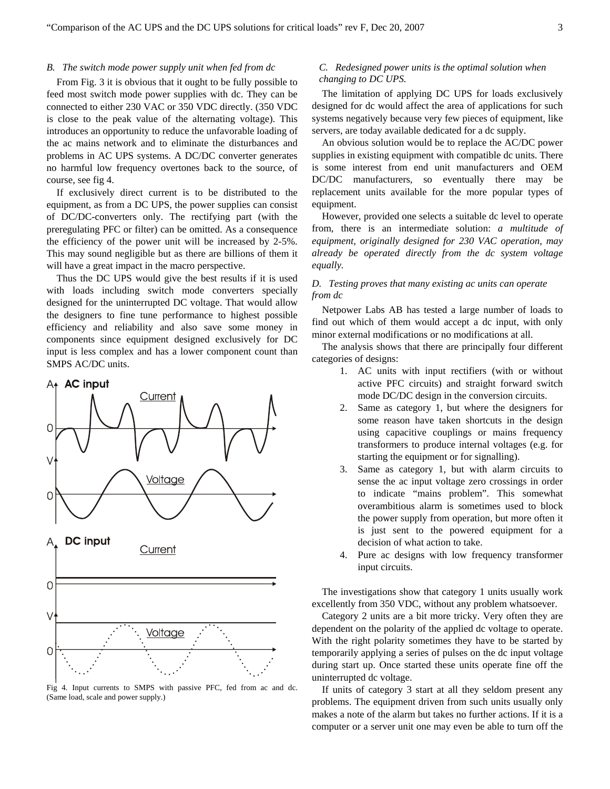#### *B. The switch mode power supply unit when fed from dc*

From Fig. 3 it is obvious that it ought to be fully possible to feed most switch mode power supplies with dc. They can be connected to either 230 VAC or 350 VDC directly. (350 VDC is close to the peak value of the alternating voltage). This introduces an opportunity to reduce the unfavorable loading of the ac mains network and to eliminate the disturbances and problems in AC UPS systems. A DC/DC converter generates no harmful low frequency overtones back to the source, of course, see fig 4.

If exclusively direct current is to be distributed to the equipment, as from a DC UPS, the power supplies can consist of DC/DC-converters only. The rectifying part (with the preregulating PFC or filter) can be omitted. As a consequence the efficiency of the power unit will be increased by 2-5%. This may sound negligible but as there are billions of them it will have a great impact in the macro perspective.

Thus the DC UPS would give the best results if it is used with loads including switch mode converters specially designed for the uninterrupted DC voltage. That would allow the designers to fine tune performance to highest possible efficiency and reliability and also save some money in components since equipment designed exclusively for DC input is less complex and has a lower component count than SMPS AC/DC units.



Fig 4. Input currents to SMPS with passive PFC, fed from ac and dc. (Same load, scale and power supply.)

### *C. Redesigned power units is the optimal solution when changing to DC UPS.*

The limitation of applying DC UPS for loads exclusively designed for dc would affect the area of applications for such systems negatively because very few pieces of equipment, like servers, are today available dedicated for a dc supply.

An obvious solution would be to replace the AC/DC power supplies in existing equipment with compatible dc units. There is some interest from end unit manufacturers and OEM DC/DC manufacturers, so eventually there may be replacement units available for the more popular types of equipment.

However, provided one selects a suitable dc level to operate from, there is an intermediate solution: *a multitude of equipment, originally designed for 230 VAC operation, may already be operated directly from the dc system voltage equally.* 

## *D. Testing proves that many existing ac units can operate from dc*

Netpower Labs AB has tested a large number of loads to find out which of them would accept a dc input, with only minor external modifications or no modifications at all.

The analysis shows that there are principally four different categories of designs:

- 1. AC units with input rectifiers (with or without active PFC circuits) and straight forward switch mode DC/DC design in the conversion circuits.
- 2. Same as category 1, but where the designers for some reason have taken shortcuts in the design using capacitive couplings or mains frequency transformers to produce internal voltages (e.g. for starting the equipment or for signalling).
- 3. Same as category 1, but with alarm circuits to sense the ac input voltage zero crossings in order to indicate "mains problem". This somewhat overambitious alarm is sometimes used to block the power supply from operation, but more often it is just sent to the powered equipment for a decision of what action to take.
- 4. Pure ac designs with low frequency transformer input circuits.

The investigations show that category 1 units usually work excellently from 350 VDC, without any problem whatsoever.

Category 2 units are a bit more tricky. Very often they are dependent on the polarity of the applied dc voltage to operate. With the right polarity sometimes they have to be started by temporarily applying a series of pulses on the dc input voltage during start up. Once started these units operate fine off the uninterrupted dc voltage.

If units of category 3 start at all they seldom present any problems. The equipment driven from such units usually only makes a note of the alarm but takes no further actions. If it is a computer or a server unit one may even be able to turn off the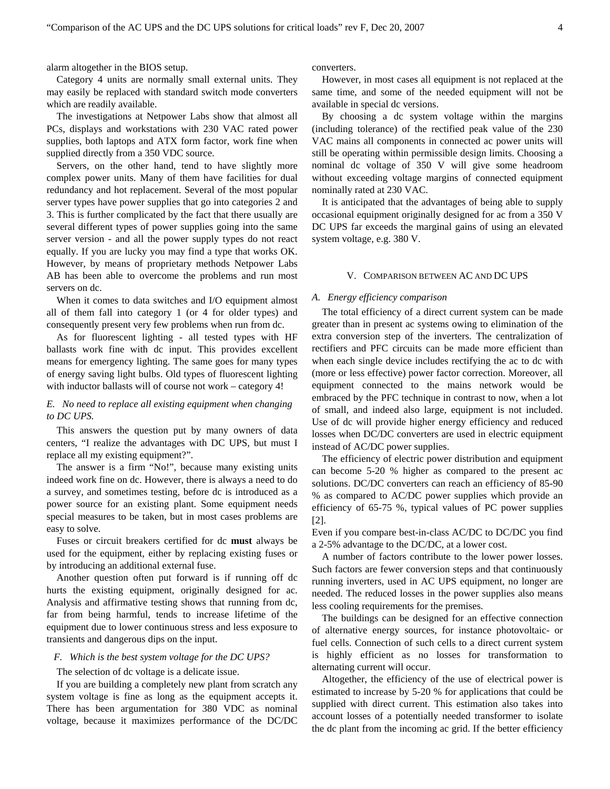alarm altogether in the BIOS setup.

Category 4 units are normally small external units. They may easily be replaced with standard switch mode converters which are readily available.

The investigations at Netpower Labs show that almost all PCs, displays and workstations with 230 VAC rated power supplies, both laptops and ATX form factor, work fine when supplied directly from a 350 VDC source.

Servers, on the other hand, tend to have slightly more complex power units. Many of them have facilities for dual redundancy and hot replacement. Several of the most popular server types have power supplies that go into categories 2 and 3. This is further complicated by the fact that there usually are several different types of power supplies going into the same server version - and all the power supply types do not react equally. If you are lucky you may find a type that works OK. However, by means of proprietary methods Netpower Labs AB has been able to overcome the problems and run most servers on dc.

When it comes to data switches and I/O equipment almost all of them fall into category 1 (or 4 for older types) and consequently present very few problems when run from dc.

As for fluorescent lighting - all tested types with HF ballasts work fine with dc input. This provides excellent means for emergency lighting. The same goes for many types of energy saving light bulbs. Old types of fluorescent lighting with inductor ballasts will of course not work – category 4!

## *E. No need to replace all existing equipment when changing to DC UPS.*

This answers the question put by many owners of data centers, "I realize the advantages with DC UPS, but must I replace all my existing equipment?".

The answer is a firm "No!", because many existing units indeed work fine on dc. However, there is always a need to do a survey, and sometimes testing, before dc is introduced as a power source for an existing plant. Some equipment needs special measures to be taken, but in most cases problems are easy to solve.

Fuses or circuit breakers certified for dc **must** always be used for the equipment, either by replacing existing fuses or by introducing an additional external fuse.

Another question often put forward is if running off dc hurts the existing equipment, originally designed for ac. Analysis and affirmative testing shows that running from dc, far from being harmful, tends to increase lifetime of the equipment due to lower continuous stress and less exposure to transients and dangerous dips on the input.

#### *F. Which is the best system voltage for the DC UPS?*

The selection of dc voltage is a delicate issue.

If you are building a completely new plant from scratch any system voltage is fine as long as the equipment accepts it. There has been argumentation for 380 VDC as nominal voltage, because it maximizes performance of the DC/DC converters.

However, in most cases all equipment is not replaced at the same time, and some of the needed equipment will not be available in special dc versions.

By choosing a dc system voltage within the margins (including tolerance) of the rectified peak value of the 230 VAC mains all components in connected ac power units will still be operating within permissible design limits. Choosing a nominal dc voltage of 350 V will give some headroom without exceeding voltage margins of connected equipment nominally rated at 230 VAC.

It is anticipated that the advantages of being able to supply occasional equipment originally designed for ac from a 350 V DC UPS far exceeds the marginal gains of using an elevated system voltage, e.g. 380 V.

#### V. COMPARISON BETWEEN AC AND DC UPS

## *A. Energy efficiency comparison*

The total efficiency of a direct current system can be made greater than in present ac systems owing to elimination of the extra conversion step of the inverters. The centralization of rectifiers and PFC circuits can be made more efficient than when each single device includes rectifying the ac to dc with (more or less effective) power factor correction. Moreover, all equipment connected to the mains network would be embraced by the PFC technique in contrast to now, when a lot of small, and indeed also large, equipment is not included. Use of dc will provide higher energy efficiency and reduced losses when DC/DC converters are used in electric equipment instead of AC/DC power supplies.

The efficiency of electric power distribution and equipment can become 5-20 % higher as compared to the present ac solutions. DC/DC converters can reach an efficiency of 85-90 % as compared to AC/DC power supplies which provide an efficiency of 65-75 %, typical values of PC power supplies [2].

Even if you compare best-in-class AC/DC to DC/DC you find a 2-5% advantage to the DC/DC, at a lower cost.

A number of factors contribute to the lower power losses. Such factors are fewer conversion steps and that continuously running inverters, used in AC UPS equipment, no longer are needed. The reduced losses in the power supplies also means less cooling requirements for the premises.

The buildings can be designed for an effective connection of alternative energy sources, for instance photovoltaic- or fuel cells. Connection of such cells to a direct current system is highly efficient as no losses for transformation to alternating current will occur.

Altogether, the efficiency of the use of electrical power is estimated to increase by 5-20 % for applications that could be supplied with direct current. This estimation also takes into account losses of a potentially needed transformer to isolate the dc plant from the incoming ac grid. If the better efficiency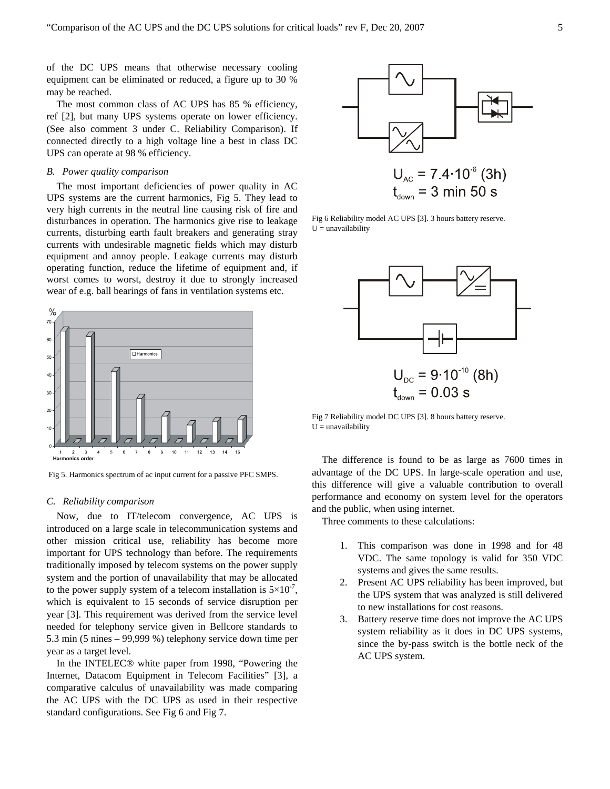of the DC UPS means that otherwise necessary cooling equipment can be eliminated or reduced, a figure up to 30 % may be reached.

The most common class of AC UPS has 85 % efficiency, ref [2], but many UPS systems operate on lower efficiency. (See also comment 3 under C. Reliability Comparison). If connected directly to a high voltage line a best in class DC UPS can operate at 98 % efficiency.

### *B. Power quality comparison*

The most important deficiencies of power quality in AC UPS systems are the current harmonics, Fig 5. They lead to very high currents in the neutral line causing risk of fire and disturbances in operation. The harmonics give rise to leakage currents, disturbing earth fault breakers and generating stray currents with undesirable magnetic fields which may disturb equipment and annoy people. Leakage currents may disturb operating function, reduce the lifetime of equipment and, if worst comes to worst, destroy it due to strongly increased wear of e.g. ball bearings of fans in ventilation systems etc.



Fig 5. Harmonics spectrum of ac input current for a passive PFC SMPS.

#### *C. Reliability comparison*

Now, due to IT/telecom convergence, AC UPS is introduced on a large scale in telecommunication systems and other mission critical use, reliability has become more important for UPS technology than before. The requirements traditionally imposed by telecom systems on the power supply system and the portion of unavailability that may be allocated to the power supply system of a telecom installation is  $5\times10^{-7}$ , which is equivalent to 15 seconds of service disruption per year [3]. This requirement was derived from the service level needed for telephony service given in Bellcore standards to 5.3 min (5 nines – 99,999 %) telephony service down time per year as a target level.

In the INTELEC® white paper from 1998, "Powering the Internet, Datacom Equipment in Telecom Facilities" [3], a comparative calculus of unavailability was made comparing the AC UPS with the DC UPS as used in their respective standard configurations. See Fig 6 and Fig 7.



Fig 6 Reliability model AC UPS [3]. 3 hours battery reserve.  $U =$ unavailability



Fig 7 Reliability model DC UPS [3]. 8 hours battery reserve.  $U =$ unavailability

The difference is found to be as large as 7600 times in advantage of the DC UPS. In large-scale operation and use, this difference will give a valuable contribution to overall performance and economy on system level for the operators and the public, when using internet.

Three comments to these calculations:

- 1. This comparison was done in 1998 and for 48 VDC. The same topology is valid for 350 VDC systems and gives the same results.
- 2. Present AC UPS reliability has been improved, but the UPS system that was analyzed is still delivered to new installations for cost reasons.
- 3. Battery reserve time does not improve the AC UPS system reliability as it does in DC UPS systems, since the by-pass switch is the bottle neck of the AC UPS system.